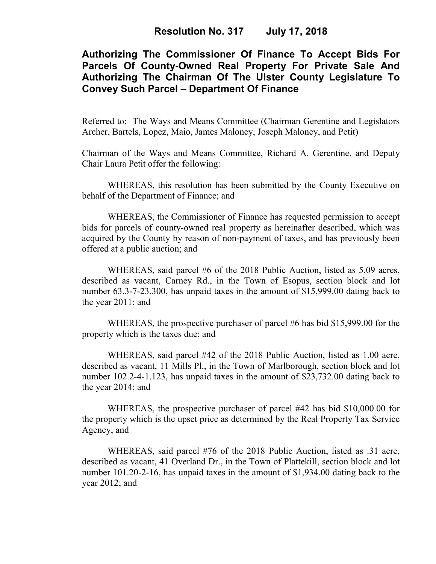# **Authorizing The Commissioner Of Finance To Accept Bids For Parcels Of County-Owned Real Property For Private Sale And Authorizing The Chairman Of The Ulster County Legislature To Convey Such Parcel – Department Of Finance**

Referred to: The Ways and Means Committee (Chairman Gerentine and Legislators Archer, Bartels, Lopez, Maio, James Maloney, Joseph Maloney, and Petit)

Chairman of the Ways and Means Committee, Richard A. Gerentine, and Deputy Chair Laura Petit offer the following:

 WHEREAS, this resolution has been submitted by the County Executive on behalf of the Department of Finance; and

 WHEREAS, the Commissioner of Finance has requested permission to accept bids for parcels of county-owned real property as hereinafter described, which was acquired by the County by reason of non-payment of taxes, and has previously been offered at a public auction; and

WHEREAS, said parcel #6 of the 2018 Public Auction, listed as 5.09 acres, described as vacant, Carney Rd., in the Town of Esopus, section block and lot number 63.3-7-23.300, has unpaid taxes in the amount of \$15,999.00 dating back to the year 2011; and

WHEREAS, the prospective purchaser of parcel #6 has bid \$15,999.00 for the property which is the taxes due; and

WHEREAS, said parcel #42 of the 2018 Public Auction, listed as 1.00 acre, described as vacant, 11 Mills Pl., in the Town of Marlborough, section block and lot number 102.2-4-1.123, has unpaid taxes in the amount of \$23,732.00 dating back to the year 2014; and

WHEREAS, the prospective purchaser of parcel #42 has bid \$10,000.00 for the property which is the upset price as determined by the Real Property Tax Service Agency; and

WHEREAS, said parcel #76 of the 2018 Public Auction, listed as .31 acre, described as vacant, 41 Overland Dr., in the Town of Plattekill, section block and lot number 101.20-2-16, has unpaid taxes in the amount of \$1,934.00 dating back to the year 2012; and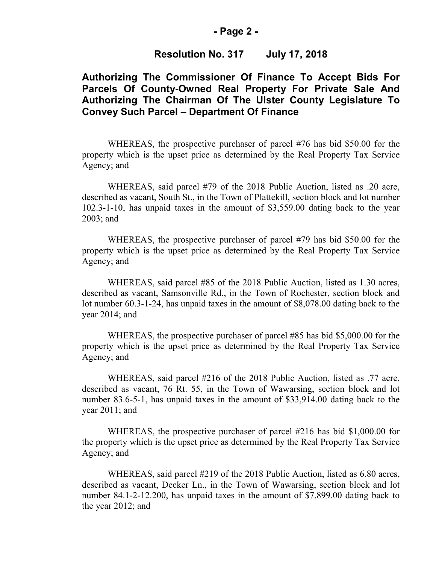#### **- Page 2 -**

### **Resolution No. 317 July 17, 2018**

## **Authorizing The Commissioner Of Finance To Accept Bids For Parcels Of County-Owned Real Property For Private Sale And Authorizing The Chairman Of The Ulster County Legislature To Convey Such Parcel – Department Of Finance**

WHEREAS, the prospective purchaser of parcel #76 has bid \$50.00 for the property which is the upset price as determined by the Real Property Tax Service Agency; and

WHEREAS, said parcel #79 of the 2018 Public Auction, listed as .20 acre, described as vacant, South St., in the Town of Plattekill, section block and lot number 102.3-1-10, has unpaid taxes in the amount of \$3,559.00 dating back to the year 2003; and

WHEREAS, the prospective purchaser of parcel #79 has bid \$50.00 for the property which is the upset price as determined by the Real Property Tax Service Agency; and

WHEREAS, said parcel #85 of the 2018 Public Auction, listed as 1.30 acres, described as vacant, Samsonville Rd., in the Town of Rochester, section block and lot number 60.3-1-24, has unpaid taxes in the amount of \$8,078.00 dating back to the year 2014; and

WHEREAS, the prospective purchaser of parcel #85 has bid \$5,000.00 for the property which is the upset price as determined by the Real Property Tax Service Agency; and

WHEREAS, said parcel #216 of the 2018 Public Auction, listed as .77 acre, described as vacant, 76 Rt. 55, in the Town of Wawarsing, section block and lot number 83.6-5-1, has unpaid taxes in the amount of \$33,914.00 dating back to the year 2011; and

WHEREAS, the prospective purchaser of parcel #216 has bid \$1,000.00 for the property which is the upset price as determined by the Real Property Tax Service Agency; and

WHEREAS, said parcel #219 of the 2018 Public Auction, listed as 6.80 acres, described as vacant, Decker Ln., in the Town of Wawarsing, section block and lot number 84.1-2-12.200, has unpaid taxes in the amount of \$7,899.00 dating back to the year 2012; and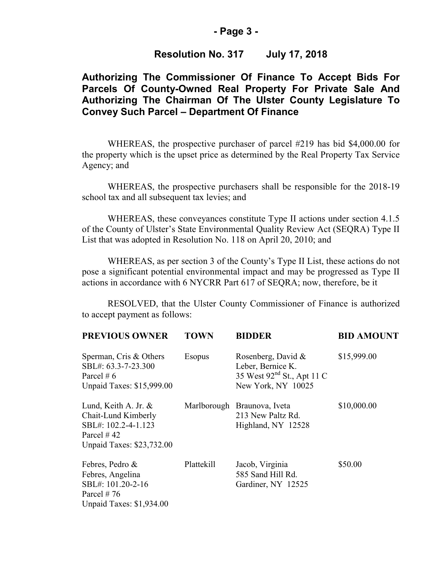### **- Page 3 -**

## **Resolution No. 317 July 17, 2018**

## **Authorizing The Commissioner Of Finance To Accept Bids For Parcels Of County-Owned Real Property For Private Sale And Authorizing The Chairman Of The Ulster County Legislature To Convey Such Parcel – Department Of Finance**

WHEREAS, the prospective purchaser of parcel #219 has bid \$4,000.00 for the property which is the upset price as determined by the Real Property Tax Service Agency; and

 WHEREAS, the prospective purchasers shall be responsible for the 2018-19 school tax and all subsequent tax levies; and

WHEREAS, these conveyances constitute Type II actions under section 4.1.5 of the County of Ulster's State Environmental Quality Review Act (SEQRA) Type II List that was adopted in Resolution No. 118 on April 20, 2010; and

 WHEREAS, as per section 3 of the County's Type II List, these actions do not pose a significant potential environmental impact and may be progressed as Type II actions in accordance with 6 NYCRR Part 617 of SEQRA; now, therefore, be it

RESOLVED, that the Ulster County Commissioner of Finance is authorized to accept payment as follows:

| <b>PREVIOUS OWNER</b>                                                                                                       | <b>TOWN</b>   | <b>BIDDER</b>                                                                                           | <b>BID AMOUNT</b> |
|-----------------------------------------------------------------------------------------------------------------------------|---------------|---------------------------------------------------------------------------------------------------------|-------------------|
| Sperman, Cris & Others<br>SBL#: 63.3-7-23.300<br>Parcel # $6$<br><b>Unpaid Taxes: \$15,999.00</b>                           | <b>Esopus</b> | Rosenberg, David &<br>Leber, Bernice K.<br>35 West 92 <sup>nd</sup> St., Apt 11 C<br>New York, NY 10025 | \$15,999.00       |
| Lund, Keith A. Jr. $\&$<br>Chait-Lund Kimberly<br>SBL#: 102.2-4-1.123<br>Parcel $\#$ 42<br><b>Unpaid Taxes: \$23,732.00</b> |               | Marlborough Braunova, Iveta<br>213 New Paltz Rd.<br>Highland, NY 12528                                  | \$10,000.00       |
| Febres, Pedro &<br>Febres, Angelina<br>SBL#: 101.20-2-16<br>Parcel $#76$<br><b>Unpaid Taxes: \$1,934.00</b>                 | Plattekill    | Jacob, Virginia<br>585 Sand Hill Rd.<br>Gardiner, NY 12525                                              | \$50.00           |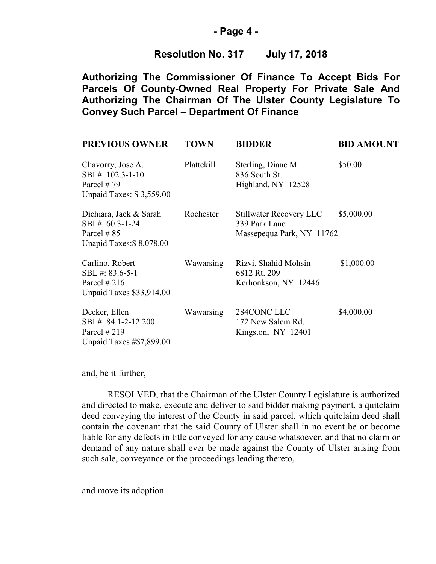### **- Page 4 -**

## **Resolution No. 317 July 17, 2018**

**Authorizing The Commissioner Of Finance To Accept Bids For Parcels Of County-Owned Real Property For Private Sale And Authorizing The Chairman Of The Ulster County Legislature To Convey Such Parcel – Department Of Finance**

| <b>PREVIOUS OWNER</b>                                                                   | <b>TOWN</b> | <b>BIDDER</b>                                                                | <b>BID AMOUNT</b> |
|-----------------------------------------------------------------------------------------|-------------|------------------------------------------------------------------------------|-------------------|
| Chavorry, Jose A.<br>SBL#: 102.3-1-10<br>Parcel $#79$<br>Unpaid Taxes: \$3,559.00       | Plattekill  | Sterling, Diane M.<br>836 South St.<br>Highland, NY 12528                    | \$50.00           |
| Dichiara, Jack & Sarah<br>SBL#: 60.3-1-24<br>Parcel $\# 85$<br>Unapid Taxes: \$8,078.00 | Rochester   | <b>Stillwater Recovery LLC</b><br>339 Park Lane<br>Massepequa Park, NY 11762 | \$5,000.00        |
| Carlino, Robert<br>SBL #: 83.6-5-1<br>Parcel $#216$<br>Unpaid Taxes \$33,914.00         | Wawarsing   | Rizvi, Shahid Mohsin<br>6812 Rt. 209<br>Kerhonkson, NY 12446                 | \$1,000.00        |
| Decker, Ellen<br>SBL#: 84.1-2-12.200<br>Parcel $#219$<br>Unpaid Taxes #\$7,899.00       | Wawarsing   | 284CONC LLC<br>172 New Salem Rd.<br>Kingston, NY 12401                       | \$4,000.00        |

and, be it further,

RESOLVED, that the Chairman of the Ulster County Legislature is authorized and directed to make, execute and deliver to said bidder making payment, a quitclaim deed conveying the interest of the County in said parcel, which quitclaim deed shall contain the covenant that the said County of Ulster shall in no event be or become liable for any defects in title conveyed for any cause whatsoever, and that no claim or demand of any nature shall ever be made against the County of Ulster arising from such sale, conveyance or the proceedings leading thereto,

and move its adoption.